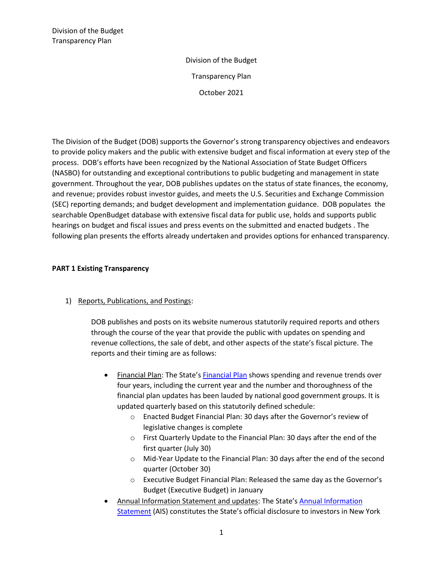The Division of the Budget (DOB) supports the Governor's strong transparency objectives and endeavors to provide policy makers and the public with extensive budget and fiscal information at every step of the process. DOB's efforts have been recognized by the National Association of State Budget Officers (NASBO) for outstanding and exceptional contributions to public budgeting and management in state government. Throughout the year, DOB publishes updates on the status of state finances, the economy, and revenue; provides robust investor guides, and meets the U.S. Securities and Exchange Commission (SEC) reporting demands; and budget development and implementation guidance. DOB populates the searchable OpenBudget database with extensive fiscal data for public use, holds and supports public hearings on budget and fiscal issues and press events on the submitted and enacted budgets . The following plan presents the efforts already undertaken and provides options for enhanced transparency.

#### **PART 1 Existing Transparency**

# 1) Reports, Publications, and Postings:

DOB publishes and posts on its website numerous statutorily required reports and others through the course of the year that provide the public with updates on spending and revenue collections, the sale of debt, and other aspects of the state's fiscal picture. The reports and their timing are as follows:

- Financial Plan: The State's [Financial Plan](https://www.budget.ny.gov/pubs/archive/fy22/en/index.html) shows spending and revenue trends over four years, including the current year and the number and thoroughness of the financial plan updates has been lauded by national good government groups. It is updated quarterly based on this statutorily defined schedule:
	- o Enacted Budget Financial Plan: 30 days after the Governor's review of legislative changes is complete
	- o First Quarterly Update to the Financial Plan: 30 days after the end of the first quarter (July 30)
	- o Mid-Year Update to the Financial Plan: 30 days after the end of the second quarter (October 30)
	- o Executive Budget Financial Plan: Released the same day as the Governor's Budget (Executive Budget) in January
- Annual Information Statement and updates: The State's [Annual Information](https://www.budget.ny.gov/investor/ais/ais-fdp.html)  [Statement](https://www.budget.ny.gov/investor/ais/ais-fdp.html) (AIS) constitutes the State's official disclosure to investors in New York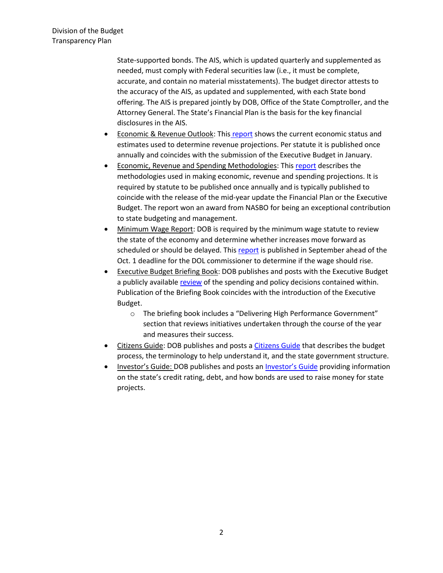State-supported bonds. The AIS, which is updated quarterly and supplemented as needed, must comply with Federal securities law (i.e., it must be complete, accurate, and contain no material misstatements). The budget director attests to the accuracy of the AIS, as updated and supplemented, with each State bond offering. The AIS is prepared jointly by DOB, Office of the State Comptroller, and the Attorney General. The State's Financial Plan is the basis for the key financial disclosures in the AIS.

- Economic & Revenue Outlook: This [report](https://www.budget.ny.gov/pubs/supporting/supporting.html) shows the current economic status and estimates used to determine revenue projections. Per statute it is published once annually and coincides with the submission of the Executive Budget in January.
- Economic, Revenue and Spending Methodologies: Thi[s report](https://www.budget.ny.gov/pubs/supporting/supporting.html) describes the methodologies used in making economic, revenue and spending projections. It is required by statute to be published once annually and is typically published to coincide with the release of the mid-year update the Financial Plan or the Executive Budget. The report won an award from NASBO for being an exceptional contribution to state budgeting and management.
- Minimum Wage Report: DOB is required by the minimum wage statute to review the state of the economy and determine whether increases move forward as scheduled or should be delayed. Thi[s report](https://dol.ny.gov/system/files/documents/2021/09/minimum_wage_final_report_092221.pdf) is published in September ahead of the Oct. 1 deadline for the DOL commissioner to determine if the wage should rise.
- Executive Budget Briefing Book: DOB publishes and posts with the Executive Budget a publicly available [review](https://www.budget.ny.gov/pubs/archive/fy22/ex/book/briefingbook.pdf) of the spending and policy decisions contained within. Publication of the Briefing Book coincides with the introduction of the Executive Budget.
	- o The briefing book includes a "Delivering High Performance Government" section that reviews initiatives undertaken through the course of the year and measures their success.
- Citizens Guide: DOB publishes and posts [a Citizens Guide](https://www.budget.ny.gov/citizen/index.html) that describes the budget process, the terminology to help understand it, and the state government structure.
- Investor's Guide: DOB publishes and posts an [Investor's Guide](https://www.budget.ny.gov/investor/index.html) providing information on the state's credit rating, debt, and how bonds are used to raise money for state projects.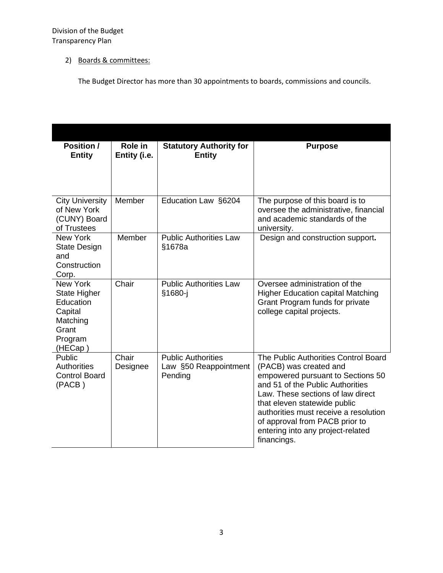# 2) Boards & committees:

The Budget Director has more than 30 appointments to boards, commissions and councils.

| Position /<br><b>Entity</b>                                                                               | Role in<br>Entity (i.e. | <b>Statutory Authority for</b><br><b>Entity</b>               | <b>Purpose</b>                                                                                                                                                                                                                                                                                                                              |
|-----------------------------------------------------------------------------------------------------------|-------------------------|---------------------------------------------------------------|---------------------------------------------------------------------------------------------------------------------------------------------------------------------------------------------------------------------------------------------------------------------------------------------------------------------------------------------|
|                                                                                                           |                         |                                                               |                                                                                                                                                                                                                                                                                                                                             |
| <b>City University</b><br>of New York<br>(CUNY) Board<br>of Trustees                                      | Member                  | Education Law §6204                                           | The purpose of this board is to<br>oversee the administrative, financial<br>and academic standards of the<br>university.                                                                                                                                                                                                                    |
| <b>New York</b><br><b>State Design</b><br>and<br>Construction<br>Corp.                                    | Member                  | <b>Public Authorities Law</b><br>§1678a                       | Design and construction support.                                                                                                                                                                                                                                                                                                            |
| <b>New York</b><br><b>State Higher</b><br>Education<br>Capital<br>Matching<br>Grant<br>Program<br>(HECap) | Chair                   | <b>Public Authorities Law</b><br>§1680-j                      | Oversee administration of the<br><b>Higher Education capital Matching</b><br>Grant Program funds for private<br>college capital projects.                                                                                                                                                                                                   |
| Public<br>Authorities<br><b>Control Board</b><br>(PACB)                                                   | Chair<br>Designee       | <b>Public Authorities</b><br>Law §50 Reappointment<br>Pending | The Public Authorities Control Board<br>(PACB) was created and<br>empowered pursuant to Sections 50<br>and 51 of the Public Authorities<br>Law. These sections of law direct<br>that eleven statewide public<br>authorities must receive a resolution<br>of approval from PACB prior to<br>entering into any project-related<br>financings. |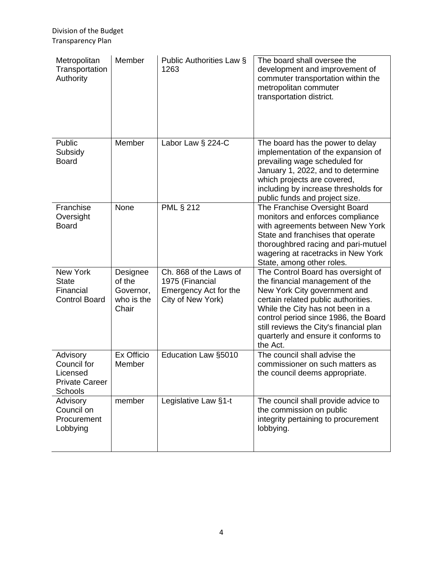| Metropolitan<br>Transportation<br>Authority                             | Member                                                 | Public Authorities Law §<br>1263                                                        | The board shall oversee the<br>development and improvement of<br>commuter transportation within the<br>metropolitan commuter<br>transportation district.                                                                                                                                                               |
|-------------------------------------------------------------------------|--------------------------------------------------------|-----------------------------------------------------------------------------------------|------------------------------------------------------------------------------------------------------------------------------------------------------------------------------------------------------------------------------------------------------------------------------------------------------------------------|
| Public<br>Subsidy<br><b>Board</b>                                       | Member                                                 | Labor Law § 224-C                                                                       | The board has the power to delay<br>implementation of the expansion of<br>prevailing wage scheduled for<br>January 1, 2022, and to determine<br>which projects are covered,<br>including by increase thresholds for<br>public funds and project size.                                                                  |
| Franchise<br>Oversight<br><b>Board</b>                                  | None                                                   | <b>PML § 212</b>                                                                        | The Franchise Oversight Board<br>monitors and enforces compliance<br>with agreements between New York<br>State and franchises that operate<br>thoroughbred racing and pari-mutuel<br>wagering at racetracks in New York<br>State, among other roles.                                                                   |
| New York<br><b>State</b><br>Financial<br><b>Control Board</b>           | Designee<br>of the<br>Governor,<br>who is the<br>Chair | Ch. 868 of the Laws of<br>1975 (Financial<br>Emergency Act for the<br>City of New York) | The Control Board has oversight of<br>the financial management of the<br>New York City government and<br>certain related public authorities.<br>While the City has not been in a<br>control period since 1986, the Board<br>still reviews the City's financial plan<br>quarterly and ensure it conforms to<br>the Act. |
| Advisory<br>Council for<br>Licensed<br><b>Private Career</b><br>Schools | Ex Officio<br>Member                                   | Education Law §5010                                                                     | The council shall advise the<br>commissioner on such matters as<br>the council deems appropriate.                                                                                                                                                                                                                      |
| Advisory<br>Council on<br>Procurement<br>Lobbying                       | member                                                 | Legislative Law §1-t                                                                    | The council shall provide advice to<br>the commission on public<br>integrity pertaining to procurement<br>lobbying.                                                                                                                                                                                                    |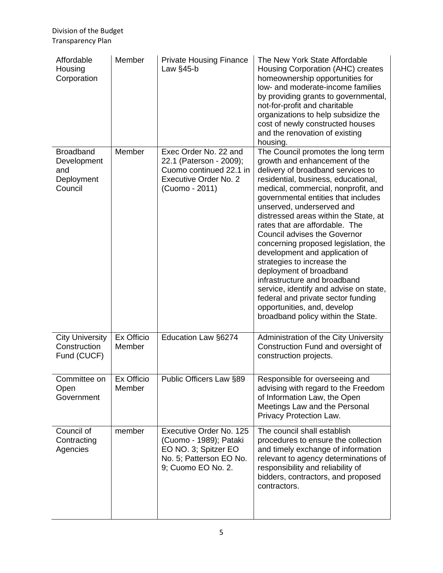| Affordable<br>Housing<br>Corporation                            | Member               | <b>Private Housing Finance</b><br>Law §45-b                                                                                | The New York State Affordable<br>Housing Corporation (AHC) creates<br>homeownership opportunities for<br>low- and moderate-income families<br>by providing grants to governmental,<br>not-for-profit and charitable<br>organizations to help subsidize the<br>cost of newly constructed houses<br>and the renovation of existing<br>housing.                                                                                                                                                                                                                                                                                                                                                         |
|-----------------------------------------------------------------|----------------------|----------------------------------------------------------------------------------------------------------------------------|------------------------------------------------------------------------------------------------------------------------------------------------------------------------------------------------------------------------------------------------------------------------------------------------------------------------------------------------------------------------------------------------------------------------------------------------------------------------------------------------------------------------------------------------------------------------------------------------------------------------------------------------------------------------------------------------------|
| <b>Broadband</b><br>Development<br>and<br>Deployment<br>Council | Member               | Exec Order No. 22 and<br>22.1 (Paterson - 2009);<br>Cuomo continued 22.1 in<br>Executive Order No. 2<br>(Cuomo - 2011)     | The Council promotes the long term<br>growth and enhancement of the<br>delivery of broadband services to<br>residential, business, educational,<br>medical, commercial, nonprofit, and<br>governmental entities that includes<br>unserved, underserved and<br>distressed areas within the State, at<br>rates that are affordable. The<br><b>Council advises the Governor</b><br>concerning proposed legislation, the<br>development and application of<br>strategies to increase the<br>deployment of broadband<br>infrastructure and broadband<br>service, identify and advise on state,<br>federal and private sector funding<br>opportunities, and, develop<br>broadband policy within the State. |
| <b>City University</b><br>Construction<br>Fund (CUCF)           | Ex Officio<br>Member | Education Law §6274                                                                                                        | Administration of the City University<br>Construction Fund and oversight of<br>construction projects.                                                                                                                                                                                                                                                                                                                                                                                                                                                                                                                                                                                                |
| Committee on<br>Open<br>Government                              | Ex Officio<br>Member | Public Officers Law §89                                                                                                    | Responsible for overseeing and<br>advising with regard to the Freedom<br>of Information Law, the Open<br>Meetings Law and the Personal<br>Privacy Protection Law.                                                                                                                                                                                                                                                                                                                                                                                                                                                                                                                                    |
| Council of<br>Contracting<br>Agencies                           | member               | Executive Order No. 125<br>(Cuomo - 1989); Pataki<br>EO NO. 3; Spitzer EO<br>No. 5; Patterson EO No.<br>9; Cuomo EO No. 2. | The council shall establish<br>procedures to ensure the collection<br>and timely exchange of information<br>relevant to agency determinations of<br>responsibility and reliability of<br>bidders, contractors, and proposed<br>contractors.                                                                                                                                                                                                                                                                                                                                                                                                                                                          |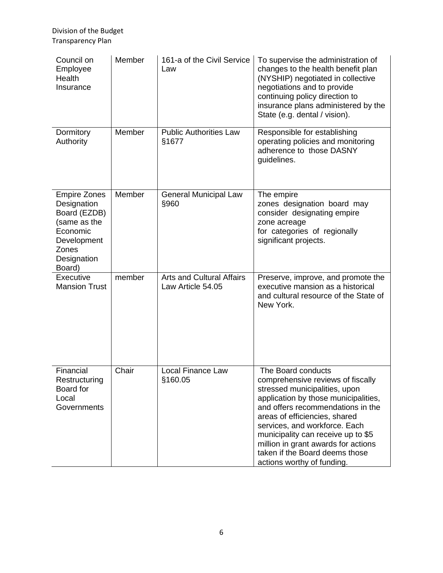| Council on<br>Employee<br>Health<br>Insurance                                                                                   | Member | 161-a of the Civil Service<br>Law                     | To supervise the administration of<br>changes to the health benefit plan<br>(NYSHIP) negotiated in collective<br>negotiations and to provide<br>continuing policy direction to<br>insurance plans administered by the<br>State (e.g. dental / vision).                                                                                                                               |
|---------------------------------------------------------------------------------------------------------------------------------|--------|-------------------------------------------------------|--------------------------------------------------------------------------------------------------------------------------------------------------------------------------------------------------------------------------------------------------------------------------------------------------------------------------------------------------------------------------------------|
| Dormitory<br>Authority                                                                                                          | Member | <b>Public Authorities Law</b><br>§1677                | Responsible for establishing<br>operating policies and monitoring<br>adherence to those DASNY<br>guidelines.                                                                                                                                                                                                                                                                         |
| <b>Empire Zones</b><br>Designation<br>Board (EZDB)<br>(same as the<br>Economic<br>Development<br>Zones<br>Designation<br>Board) | Member | <b>General Municipal Law</b><br>§960                  | The empire<br>zones designation board may<br>consider designating empire<br>zone acreage<br>for categories of regionally<br>significant projects.                                                                                                                                                                                                                                    |
| Executive<br><b>Mansion Trust</b>                                                                                               | member | <b>Arts and Cultural Affairs</b><br>Law Article 54.05 | Preserve, improve, and promote the<br>executive mansion as a historical<br>and cultural resource of the State of<br>New York.                                                                                                                                                                                                                                                        |
| Financial<br>Restructuring<br>Board for<br>Local<br>Governments                                                                 | Chair  | Local Finance Law<br>§160.05                          | The Board conducts<br>comprehensive reviews of fiscally<br>stressed municipalities, upon<br>application by those municipalities,<br>and offers recommendations in the<br>areas of efficiencies, shared<br>services, and workforce. Each<br>municipality can receive up to \$5<br>million in grant awards for actions<br>taken if the Board deems those<br>actions worthy of funding. |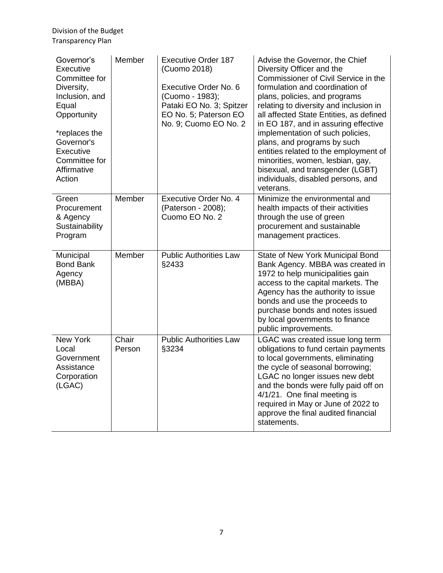| Governor's<br>Executive<br>Committee for<br>Diversity,<br>Inclusion, and<br>Equal<br>Opportunity<br>*replaces the<br>Governor's<br>Executive<br>Committee for<br>Affirmative<br>Action | Member          | <b>Executive Order 187</b><br>(Cuomo 2018)<br>Executive Order No. 6<br>(Cuomo - 1983);<br>Pataki EO No. 3; Spitzer<br>EO No. 5; Paterson EO<br>No. 9; Cuomo EO No. 2 | Advise the Governor, the Chief<br>Diversity Officer and the<br>Commissioner of Civil Service in the<br>formulation and coordination of<br>plans, policies, and programs<br>relating to diversity and inclusion in<br>all affected State Entities, as defined<br>in EO 187, and in assuring effective<br>implementation of such policies,<br>plans, and programs by such<br>entities related to the employment of<br>minorities, women, lesbian, gay,<br>bisexual, and transgender (LGBT)<br>individuals, disabled persons, and<br>veterans. |
|----------------------------------------------------------------------------------------------------------------------------------------------------------------------------------------|-----------------|----------------------------------------------------------------------------------------------------------------------------------------------------------------------|---------------------------------------------------------------------------------------------------------------------------------------------------------------------------------------------------------------------------------------------------------------------------------------------------------------------------------------------------------------------------------------------------------------------------------------------------------------------------------------------------------------------------------------------|
| Green<br>Procurement<br>& Agency<br>Sustainability<br>Program                                                                                                                          | Member          | Executive Order No. 4<br>(Paterson - 2008);<br>Cuomo EO No. 2                                                                                                        | Minimize the environmental and<br>health impacts of their activities<br>through the use of green<br>procurement and sustainable<br>management practices.                                                                                                                                                                                                                                                                                                                                                                                    |
| Municipal<br><b>Bond Bank</b><br>Agency<br>(MBBA)                                                                                                                                      | Member          | <b>Public Authorities Law</b><br>§2433                                                                                                                               | State of New York Municipal Bond<br>Bank Agency. MBBA was created in<br>1972 to help municipalities gain<br>access to the capital markets. The<br>Agency has the authority to issue<br>bonds and use the proceeds to<br>purchase bonds and notes issued<br>by local governments to finance<br>public improvements.                                                                                                                                                                                                                          |
| New York<br>Local<br>Government<br>Assistance<br>Corporation<br>(LGAC)                                                                                                                 | Chair<br>Person | <b>Public Authorities Law</b><br>§3234                                                                                                                               | LGAC was created issue long term<br>obligations to fund certain payments<br>to local governments, eliminating<br>the cycle of seasonal borrowing;<br>LGAC no longer issues new debt<br>and the bonds were fully paid off on<br>4/1/21. One final meeting is<br>required in May or June of 2022 to<br>approve the final audited financial<br>statements.                                                                                                                                                                                     |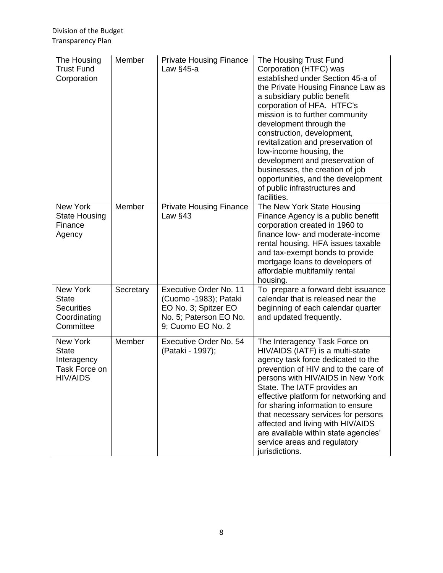| The Housing<br><b>Trust Fund</b><br>Corporation                             | Member    | <b>Private Housing Finance</b><br>Law $§45-a$                                                                          | The Housing Trust Fund<br>Corporation (HTFC) was<br>established under Section 45-a of<br>the Private Housing Finance Law as<br>a subsidiary public benefit<br>corporation of HFA. HTFC's<br>mission is to further community<br>development through the<br>construction, development,<br>revitalization and preservation of<br>low-income housing, the<br>development and preservation of<br>businesses, the creation of job<br>opportunities, and the development<br>of public infrastructures and<br>facilities. |
|-----------------------------------------------------------------------------|-----------|------------------------------------------------------------------------------------------------------------------------|-------------------------------------------------------------------------------------------------------------------------------------------------------------------------------------------------------------------------------------------------------------------------------------------------------------------------------------------------------------------------------------------------------------------------------------------------------------------------------------------------------------------|
| New York<br><b>State Housing</b><br>Finance<br>Agency                       | Member    | <b>Private Housing Finance</b><br>Law $§43$                                                                            | The New York State Housing<br>Finance Agency is a public benefit<br>corporation created in 1960 to<br>finance low- and moderate-income<br>rental housing. HFA issues taxable<br>and tax-exempt bonds to provide<br>mortgage loans to developers of<br>affordable multifamily rental<br>housing.                                                                                                                                                                                                                   |
| New York<br><b>State</b><br><b>Securities</b><br>Coordinating<br>Committee  | Secretary | Executive Order No. 11<br>(Cuomo -1983); Pataki<br>EO No. 3; Spitzer EO<br>No. 5; Paterson EO No.<br>9; Cuomo EO No. 2 | To prepare a forward debt issuance<br>calendar that is released near the<br>beginning of each calendar quarter<br>and updated frequently.                                                                                                                                                                                                                                                                                                                                                                         |
| New York<br><b>State</b><br>Interagency<br>Task Force on<br><b>HIV/AIDS</b> | Member    | Executive Order No. 54<br>(Pataki - 1997);                                                                             | The Interagency Task Force on<br>HIV/AIDS (IATF) is a multi-state<br>agency task force dedicated to the<br>prevention of HIV and to the care of<br>persons with HIV/AIDS in New York<br>State. The IATF provides an<br>effective platform for networking and<br>for sharing information to ensure<br>that necessary services for persons<br>affected and living with HIV/AIDS<br>are available within state agencies'<br>service areas and regulatory<br>jurisdictions.                                           |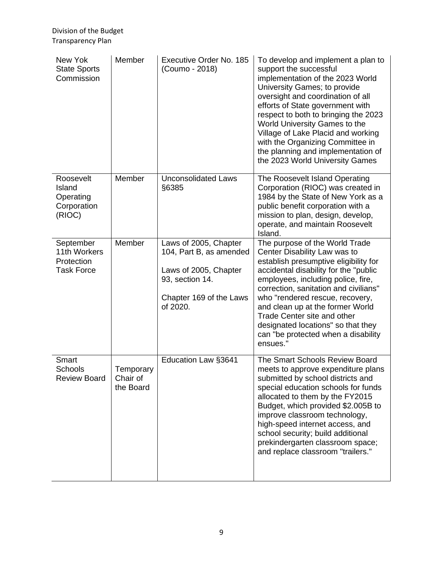| New Yok<br><b>State Sports</b><br>Commission                 | Member                             | Executive Order No. 185<br>(Coumo - 2018)                                                                                           | To develop and implement a plan to<br>support the successful<br>implementation of the 2023 World<br>University Games; to provide<br>oversight and coordination of all<br>efforts of State government with<br>respect to both to bringing the 2023<br>World University Games to the<br>Village of Lake Placid and working<br>with the Organizing Committee in<br>the planning and implementation of<br>the 2023 World University Games |
|--------------------------------------------------------------|------------------------------------|-------------------------------------------------------------------------------------------------------------------------------------|---------------------------------------------------------------------------------------------------------------------------------------------------------------------------------------------------------------------------------------------------------------------------------------------------------------------------------------------------------------------------------------------------------------------------------------|
| Roosevelt<br>Island<br>Operating<br>Corporation<br>(RIOC)    | Member                             | <b>Unconsolidated Laws</b><br>§6385                                                                                                 | The Roosevelt Island Operating<br>Corporation (RIOC) was created in<br>1984 by the State of New York as a<br>public benefit corporation with a<br>mission to plan, design, develop,<br>operate, and maintain Roosevelt<br>Island.                                                                                                                                                                                                     |
| September<br>11th Workers<br>Protection<br><b>Task Force</b> | Member                             | Laws of 2005, Chapter<br>104, Part B, as amended<br>Laws of 2005, Chapter<br>93, section 14.<br>Chapter 169 of the Laws<br>of 2020. | The purpose of the World Trade<br>Center Disability Law was to<br>establish presumptive eligibility for<br>accidental disability for the "public<br>employees, including police, fire,<br>correction, sanitation and civilians"<br>who "rendered rescue, recovery,<br>and clean up at the former World<br>Trade Center site and other<br>designated locations" so that they<br>can "be protected when a disability<br>ensues."        |
| Smart<br><b>Schools</b><br><b>Review Board</b>               | Temporary<br>Chair of<br>the Board | Education Law §3641                                                                                                                 | The Smart Schools Review Board<br>meets to approve expenditure plans<br>submitted by school districts and<br>special education schools for funds<br>allocated to them by the FY2015<br>Budget, which provided \$2.005B to<br>improve classroom technology,<br>high-speed internet access, and<br>school security; build additional<br>prekindergarten classroom space;<br>and replace classroom "trailers."                           |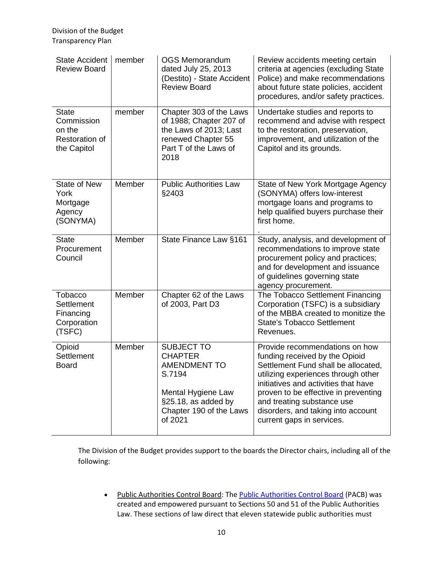| <b>State Accident</b><br><b>Review Board</b>                          | member | <b>OGS Memorandum</b><br>dated July 25, 2013<br>(Destito) - State Accident<br><b>Review Board</b>                                                       | Review accidents meeting certain<br>criteria at agencies (excluding State<br>Police) and make recommendations<br>about future state policies, accident<br>procedures, and/or safety practices.                                                                                                                                  |
|-----------------------------------------------------------------------|--------|---------------------------------------------------------------------------------------------------------------------------------------------------------|---------------------------------------------------------------------------------------------------------------------------------------------------------------------------------------------------------------------------------------------------------------------------------------------------------------------------------|
| <b>State</b><br>Commission<br>on the<br>Restoration of<br>the Capitol | member | Chapter 303 of the Laws<br>of 1988; Chapter 207 of<br>the Laws of 2013; Last<br>renewed Chapter 55<br>Part T of the Laws of<br>2018                     | Undertake studies and reports to<br>recommend and advise with respect<br>to the restoration, preservation,<br>improvement, and utilization of the<br>Capitol and its grounds.                                                                                                                                                   |
| <b>State of New</b><br>York<br>Mortgage<br>Agency<br>(SONYMA)         | Member | <b>Public Authorities Law</b><br>§2403                                                                                                                  | State of New York Mortgage Agency<br>(SONYMA) offers low-interest<br>mortgage loans and programs to<br>help qualified buyers purchase their<br>first home.                                                                                                                                                                      |
| <b>State</b><br>Procurement<br>Council                                | Member | State Finance Law §161                                                                                                                                  | Study, analysis, and development of<br>recommendations to improve state<br>procurement policy and practices;<br>and for development and issuance<br>of guidelines governing state<br>agency procurement.                                                                                                                        |
| Tobacco<br>Settlement<br>Financing<br>Corporation<br>(TSFC)           | Member | Chapter 62 of the Laws<br>of 2003, Part D3                                                                                                              | The Tobacco Settlement Financing<br>Corporation (TSFC) is a subsidiary<br>of the MBBA created to monitize the<br><b>State's Tobacco Settlement</b><br>Revenues.                                                                                                                                                                 |
| Opioid<br>Settlement<br><b>Board</b>                                  | Member | <b>SUBJECT TO</b><br><b>CHAPTER</b><br><b>AMENDMENT TO</b><br>S.7194<br>Mental Hygiene Law<br>§25.18, as added by<br>Chapter 190 of the Laws<br>of 2021 | Provide recommendations on how<br>funding received by the Opioid<br>Settlement Fund shall be allocated,<br>utilizing experiences through other<br>initiatives and activities that have<br>proven to be effective in preventing<br>and treating substance use<br>disorders, and taking into account<br>current gaps in services. |

The Division of the Budget provides support to the boards the Director chairs, including all of the following:

• [Public Authorities Control Board:](https://eval1.budget.ny.gov/boards/pacb/index.html) Th[e Public Authorities Control Board](https://www.budget.ny.gov/boards/pacb/index.html) (PACB) was created and empowered pursuant to Sections 50 and 51 of the Public Authorities Law. These sections of law direct that eleven statewide public authorities must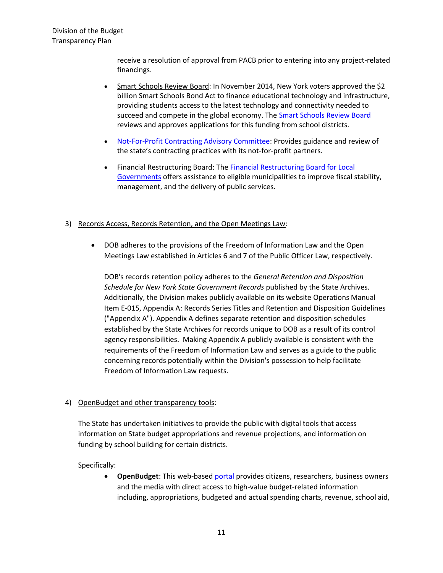receive a resolution of approval from PACB prior to entering into any project-related financings.

- [Smart Schools Review Board:](https://eval1.budget.ny.gov/boards/ssrb/index.html) In November 2014, New York voters approved the \$2 billion Smart Schools Bond Act to finance educational technology and infrastructure, providing students access to the latest technology and connectivity needed to succeed and compete in the global economy. The **Smart Schools Review Board** reviews and approves applications for this funding from school districts.
- [Not-For-Profit Contracting Advisory Committee:](https://www.budget.ny.gov/boards/nfpcac/index.html) Provides guidance and review of the state's contracting practices with its not-for-profit partners.
- [Financial Restructuring Board:](https://frb.ny.gov/) The [Financial Restructuring Board for Local](https://frb.ny.gov/)  [Governments](https://frb.ny.gov/) offers assistance to eligible municipalities to improve fiscal stability, management, and the delivery of public services.

#### 3) Records Access, Records Retention, and the Open Meetings Law:

• DOB adheres to the provisions of the Freedom of Information Law and the Open Meetings Law established in Articles 6 and 7 of the Public Officer Law, respectively.

DOB's records retention policy adheres to the *General Retention and Disposition Schedule for New York State Government Records* published by the State Archives. Additionally, the Division makes publicly available on its website Operations Manual Item E-015, Appendix A: Records Series Titles and Retention and Disposition Guidelines ("Appendix A"). Appendix A defines separate retention and disposition schedules established by the State Archives for records unique to DOB as a result of its control agency responsibilities. Making Appendix A publicly available is consistent with the requirements of the Freedom of Information Law and serves as a guide to the public concerning records potentially within the Division's possession to help facilitate Freedom of Information Law requests.

# 4) OpenBudget and other transparency tools:

The State has undertaken initiatives to provide the public with digital tools that access information on State budget appropriations and revenue projections, and information on funding by school building for certain districts.

Specifically:

• **OpenBudget**: This web-based [portal](https://openbudget.ny.gov/) provides citizens, researchers, business owners and the media with direct access to high-value budget-related information including, appropriations, budgeted and actual spending charts, revenue, school aid,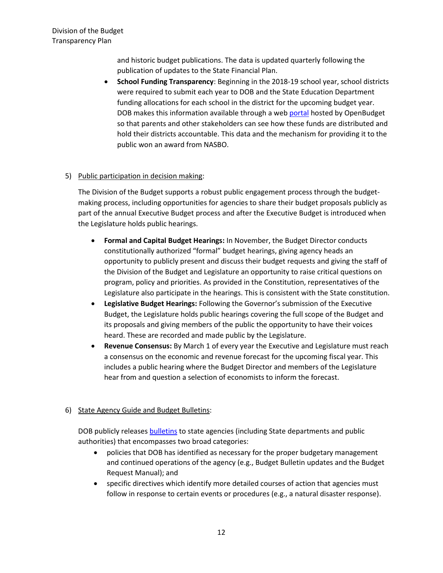and historic budget publications. The data is updated quarterly following the publication of updates to the State Financial Plan.

• **School Funding Transparency**: Beginning in the 2018-19 school year, school districts were required to submit each year to DOB and the State Education Department funding allocations for each school in the district for the upcoming budget year. DOB makes this information available through a web [portal](https://openbudget.ny.gov/schoolFundingTransparency.html) hosted by OpenBudget so that parents and other stakeholders can see how these funds are distributed and hold their districts accountable. This data and the mechanism for providing it to the public won an award from NASBO.

# 5) Public participation in decision making:

The Division of the Budget supports a robust public engagement process through the budgetmaking process, including opportunities for agencies to share their budget proposals publicly as part of the annual Executive Budget process and after the Executive Budget is introduced when the Legislature holds public hearings.

- **Formal and Capital Budget Hearings:** In November, the Budget Director conducts constitutionally authorized "formal" budget hearings, giving agency heads an opportunity to publicly present and discuss their budget requests and giving the staff of the Division of the Budget and Legislature an opportunity to raise critical questions on program, policy and priorities. As provided in the Constitution, representatives of the Legislature also participate in the hearings. This is consistent with the State constitution.
- **Legislative Budget Hearings:** Following the Governor's submission of the Executive Budget, the Legislature holds public hearings covering the full scope of the Budget and its proposals and giving members of the public the opportunity to have their voices heard. These are recorded and made public by the Legislature.
- **Revenue Consensus:** By March 1 of every year the Executive and Legislature must reach a consensus on the economic and revenue forecast for the upcoming fiscal year. This includes a public hearing where the Budget Director and members of the Legislature hear from and question a selection of economists to inform the forecast.

# 6) State Agency Guide and Budget Bulletins:

DOB publicly releases **bulletins** to state agencies (including State departments and public authorities) that encompasses two broad categories:

- policies that DOB has identified as necessary for the proper budgetary management and continued operations of the agency (e.g., Budget Bulletin updates and the Budget Request Manual); and
- specific directives which identify more detailed courses of action that agencies must follow in response to certain events or procedures (e.g., a natural disaster response).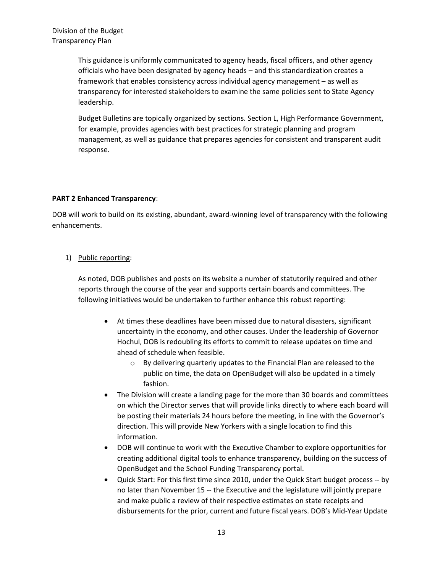This guidance is uniformly communicated to agency heads, fiscal officers, and other agency officials who have been designated by agency heads – and this standardization creates a framework that enables consistency across individual agency management – as well as transparency for interested stakeholders to examine the same policies sent to State Agency leadership.

Budget Bulletins are topically organized by sections. Section L, High Performance Government, for example, provides agencies with best practices for strategic planning and program management, as well as guidance that prepares agencies for consistent and transparent audit response.

#### **PART 2 Enhanced Transparency**:

DOB will work to build on its existing, abundant, award-winning level of transparency with the following enhancements.

#### 1) Public reporting:

As noted, DOB publishes and posts on its website a number of statutorily required and other reports through the course of the year and supports certain boards and committees. The following initiatives would be undertaken to further enhance this robust reporting:

- At times these deadlines have been missed due to natural disasters, significant uncertainty in the economy, and other causes. Under the leadership of Governor Hochul, DOB is redoubling its efforts to commit to release updates on time and ahead of schedule when feasible.
	- o By delivering quarterly updates to the Financial Plan are released to the public on time, the data on OpenBudget will also be updated in a timely fashion.
- The Division will create a landing page for the more than 30 boards and committees on which the Director serves that will provide links directly to where each board will be posting their materials 24 hours before the meeting, in line with the Governor's direction. This will provide New Yorkers with a single location to find this information.
- DOB will continue to work with the Executive Chamber to explore opportunities for creating additional digital tools to enhance transparency, building on the success of OpenBudget and the School Funding Transparency portal.
- Quick Start: For this first time since 2010, under the Quick Start budget process -- by no later than November 15 -- the Executive and the legislature will jointly prepare and make public a review of their respective estimates on state receipts and disbursements for the prior, current and future fiscal years. DOB's Mid-Year Update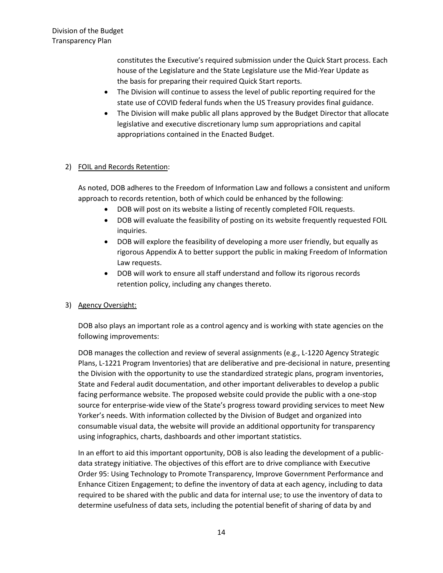constitutes the Executive's required submission under the Quick Start process. Each house of the Legislature and the State Legislature use the Mid-Year Update as the basis for preparing their required Quick Start reports.

- The Division will continue to assess the level of public reporting required for the state use of COVID federal funds when the US Treasury provides final guidance.
- The Division will make public all plans approved by the Budget Director that allocate legislative and executive discretionary lump sum appropriations and capital appropriations contained in the Enacted Budget.

# 2) FOIL and Records Retention:

As noted, DOB adheres to the Freedom of Information Law and follows a consistent and uniform approach to records retention, both of which could be enhanced by the following:

- DOB will post on its website a listing of recently completed FOIL requests.
- DOB will evaluate the feasibility of posting on its website frequently requested FOIL inquiries.
- DOB will explore the feasibility of developing a more user friendly, but equally as rigorous Appendix A to better support the public in making Freedom of Information Law requests.
- DOB will work to ensure all staff understand and follow its rigorous records retention policy, including any changes thereto.

#### 3) Agency Oversight:

DOB also plays an important role as a control agency and is working with state agencies on the following improvements:

DOB manages the collection and review of several assignments (e.g., L-1220 Agency Strategic Plans, L-1221 Program Inventories) that are deliberative and pre-decisional in nature, presenting the Division with the opportunity to use the standardized strategic plans, program inventories, State and Federal audit documentation, and other important deliverables to develop a public facing performance website. The proposed website could provide the public with a one-stop source for enterprise-wide view of the State's progress toward providing services to meet New Yorker's needs. With information collected by the Division of Budget and organized into consumable visual data, the website will provide an additional opportunity for transparency using infographics, charts, dashboards and other important statistics.

In an effort to aid this important opportunity, DOB is also leading the development of a publicdata strategy initiative. The objectives of this effort are to drive compliance with Executive Order 95: Using Technology to Promote Transparency, Improve Government Performance and Enhance Citizen Engagement; to define the inventory of data at each agency, including to data required to be shared with the public and data for internal use; to use the inventory of data to determine usefulness of data sets, including the potential benefit of sharing of data by and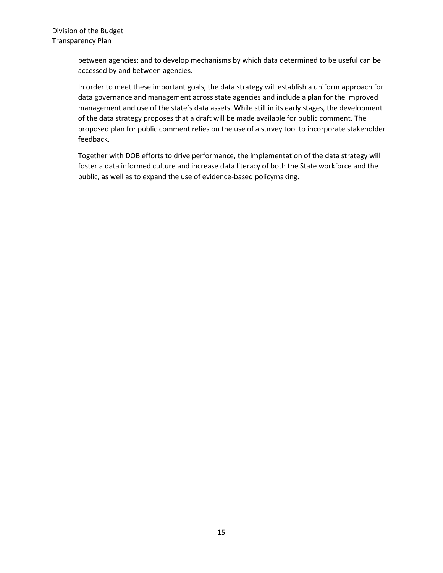> between agencies; and to develop mechanisms by which data determined to be useful can be accessed by and between agencies.

In order to meet these important goals, the data strategy will establish a uniform approach for data governance and management across state agencies and include a plan for the improved management and use of the state's data assets. While still in its early stages, the development of the data strategy proposes that a draft will be made available for public comment. The proposed plan for public comment relies on the use of a survey tool to incorporate stakeholder feedback.

Together with DOB efforts to drive performance, the implementation of the data strategy will foster a data informed culture and increase data literacy of both the State workforce and the public, as well as to expand the use of evidence-based policymaking.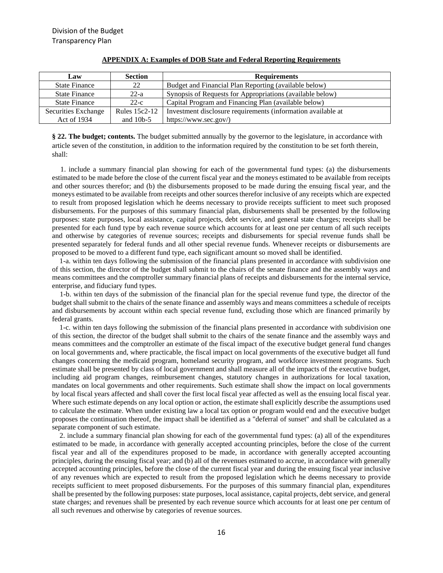| Law                  | <b>Section</b>       | <b>Requirements</b>                                          |
|----------------------|----------------------|--------------------------------------------------------------|
| <b>State Finance</b> | 22                   | Budget and Financial Plan Reporting (available below)        |
| <b>State Finance</b> | $22-a$               | Synopsis of Requests for Appropriations (available below)    |
| <b>State Finance</b> | $22-c$               | Capital Program and Financing Plan (available below)         |
| Securities Exchange  | <b>Rules 15c2-12</b> | Investment disclosure requirements (information available at |
| Act of 1934          | and $10b-5$          | https://www.sec.gov/)                                        |

#### **APPENDIX A: Examples of DOB State and Federal Reporting Requirements**

**§ 22. The budget; contents.** The budget submitted annually by the governor to the legislature, in accordance with article seven of the constitution, in addition to the information required by the constitution to be set forth therein, shall:

 1. include a summary financial plan showing for each of the governmental fund types: (a) the disbursements estimated to be made before the close of the current fiscal year and the moneys estimated to be available from receipts and other sources therefor; and (b) the disbursements proposed to be made during the ensuing fiscal year, and the moneys estimated to be available from receipts and other sources therefor inclusive of any receipts which are expected to result from proposed legislation which he deems necessary to provide receipts sufficient to meet such proposed disbursements. For the purposes of this summary financial plan, disbursements shall be presented by the following purposes: state purposes, local assistance, capital projects, debt service, and general state charges; receipts shall be presented for each fund type by each revenue source which accounts for at least one per centum of all such receipts and otherwise by categories of revenue sources; receipts and disbursements for special revenue funds shall be presented separately for federal funds and all other special revenue funds. Whenever receipts or disbursements are proposed to be moved to a different fund type, each significant amount so moved shall be identified.

 1-a. within ten days following the submission of the financial plans presented in accordance with subdivision one of this section, the director of the budget shall submit to the chairs of the senate finance and the assembly ways and means committees and the comptroller summary financial plans of receipts and disbursements for the internal service, enterprise, and fiduciary fund types.

 1-b. within ten days of the submission of the financial plan for the special revenue fund type, the director of the budget shall submit to the chairs of the senate finance and assembly ways and means committees a schedule of receipts and disbursements by account within each special revenue fund, excluding those which are financed primarily by federal grants.

 1-c. within ten days following the submission of the financial plans presented in accordance with subdivision one of this section, the director of the budget shall submit to the chairs of the senate finance and the assembly ways and means committees and the comptroller an estimate of the fiscal impact of the executive budget general fund changes on local governments and, where practicable, the fiscal impact on local governments of the executive budget all fund changes concerning the medicaid program, homeland security program, and workforce investment programs. Such estimate shall be presented by class of local government and shall measure all of the impacts of the executive budget, including aid program changes, reimbursement changes, statutory changes in authorizations for local taxation, mandates on local governments and other requirements. Such estimate shall show the impact on local governments by local fiscal years affected and shall cover the first local fiscal year affected as well as the ensuing local fiscal year. Where such estimate depends on any local option or action, the estimate shall explicitly describe the assumptions used to calculate the estimate. When under existing law a local tax option or program would end and the executive budget proposes the continuation thereof, the impact shall be identified as a "deferral of sunset" and shall be calculated as a separate component of such estimate.

 2. include a summary financial plan showing for each of the governmental fund types: (a) all of the expenditures estimated to be made, in accordance with generally accepted accounting principles, before the close of the current fiscal year and all of the expenditures proposed to be made, in accordance with generally accepted accounting principles, during the ensuing fiscal year; and (b) all of the revenues estimated to accrue, in accordance with generally accepted accounting principles, before the close of the current fiscal year and during the ensuing fiscal year inclusive of any revenues which are expected to result from the proposed legislation which he deems necessary to provide receipts sufficient to meet proposed disbursements. For the purposes of this summary financial plan, expenditures shall be presented by the following purposes: state purposes, local assistance, capital projects, debt service, and general state charges; and revenues shall be presented by each revenue source which accounts for at least one per centum of all such revenues and otherwise by categories of revenue sources.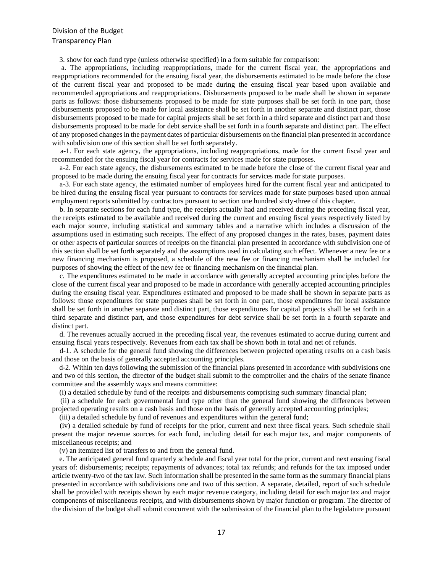3. show for each fund type (unless otherwise specified) in a form suitable for comparison:

 a. The appropriations, including reappropriations, made for the current fiscal year, the appropriations and reappropriations recommended for the ensuing fiscal year, the disbursements estimated to be made before the close of the current fiscal year and proposed to be made during the ensuing fiscal year based upon available and recommended appropriations and reappropriations. Disbursements proposed to be made shall be shown in separate parts as follows: those disbursements proposed to be made for state purposes shall be set forth in one part, those disbursements proposed to be made for local assistance shall be set forth in another separate and distinct part, those disbursements proposed to be made for capital projects shall be set forth in a third separate and distinct part and those disbursements proposed to be made for debt service shall be set forth in a fourth separate and distinct part. The effect of any proposed changes in the payment dates of particular disbursements on the financial plan presented in accordance with subdivision one of this section shall be set forth separately.

 a-1. For each state agency, the appropriations, including reappropriations, made for the current fiscal year and recommended for the ensuing fiscal year for contracts for services made for state purposes.

 a-2. For each state agency, the disbursements estimated to be made before the close of the current fiscal year and proposed to be made during the ensuing fiscal year for contracts for services made for state purposes.

 a-3. For each state agency, the estimated number of employees hired for the current fiscal year and anticipated to be hired during the ensuing fiscal year pursuant to contracts for services made for state purposes based upon annual employment reports submitted by contractors pursuant to section one hundred sixty-three of this chapter.

 b. In separate sections for each fund type, the receipts actually had and received during the preceding fiscal year, the receipts estimated to be available and received during the current and ensuing fiscal years respectively listed by each major source, including statistical and summary tables and a narrative which includes a discussion of the assumptions used in estimating such receipts. The effect of any proposed changes in the rates, bases, payment dates or other aspects of particular sources of receipts on the financial plan presented in accordance with subdivision one of this section shall be set forth separately and the assumptions used in calculating such effect. Whenever a new fee or a new financing mechanism is proposed, a schedule of the new fee or financing mechanism shall be included for purposes of showing the effect of the new fee or financing mechanism on the financial plan.

 c. The expenditures estimated to be made in accordance with generally accepted accounting principles before the close of the current fiscal year and proposed to be made in accordance with generally accepted accounting principles during the ensuing fiscal year. Expenditures estimated and proposed to be made shall be shown in separate parts as follows: those expenditures for state purposes shall be set forth in one part, those expenditures for local assistance shall be set forth in another separate and distinct part, those expenditures for capital projects shall be set forth in a third separate and distinct part, and those expenditures for debt service shall be set forth in a fourth separate and distinct part.

 d. The revenues actually accrued in the preceding fiscal year, the revenues estimated to accrue during current and ensuing fiscal years respectively. Revenues from each tax shall be shown both in total and net of refunds.

 d-1. A schedule for the general fund showing the differences between projected operating results on a cash basis and those on the basis of generally accepted accounting principles.

 d-2. Within ten days following the submission of the financial plans presented in accordance with subdivisions one and two of this section, the director of the budget shall submit to the comptroller and the chairs of the senate finance committee and the assembly ways and means committee:

(i) a detailed schedule by fund of the receipts and disbursements comprising such summary financial plan;

 (ii) a schedule for each governmental fund type other than the general fund showing the differences between projected operating results on a cash basis and those on the basis of generally accepted accounting principles;

(iii) a detailed schedule by fund of revenues and expenditures within the general fund;

 (iv) a detailed schedule by fund of receipts for the prior, current and next three fiscal years. Such schedule shall present the major revenue sources for each fund, including detail for each major tax, and major components of miscellaneous receipts; and

(v) an itemized list of transfers to and from the general fund.

 e. The anticipated general fund quarterly schedule and fiscal year total for the prior, current and next ensuing fiscal years of: disbursements; receipts; repayments of advances; total tax refunds; and refunds for the tax imposed under article twenty-two of the tax law. Such information shall be presented in the same form as the summary financial plans presented in accordance with subdivisions one and two of this section. A separate, detailed, report of such schedule shall be provided with receipts shown by each major revenue category, including detail for each major tax and major components of miscellaneous receipts, and with disbursements shown by major function or program. The director of the division of the budget shall submit concurrent with the submission of the financial plan to the legislature pursuant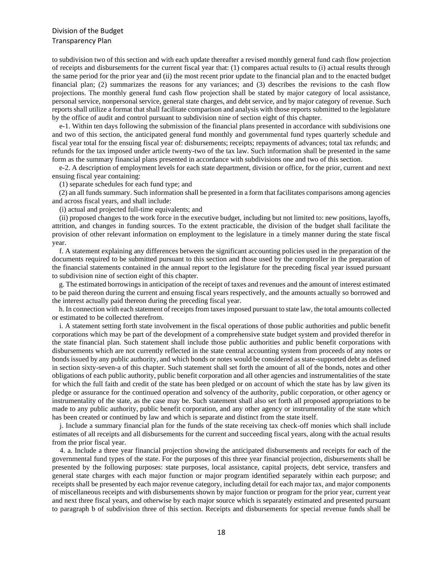to subdivision two of this section and with each update thereafter a revised monthly general fund cash flow projection of receipts and disbursements for the current fiscal year that: (1) compares actual results to (i) actual results through the same period for the prior year and (ii) the most recent prior update to the financial plan and to the enacted budget financial plan; (2) summarizes the reasons for any variances; and (3) describes the revisions to the cash flow projections. The monthly general fund cash flow projection shall be stated by major category of local assistance, personal service, nonpersonal service, general state charges, and debt service, and by major category of revenue. Such reports shall utilize a format that shall facilitate comparison and analysis with those reports submitted to the legislature by the office of audit and control pursuant to subdivision nine of section eight of this chapter.

 e-1. Within ten days following the submission of the financial plans presented in accordance with subdivisions one and two of this section, the anticipated general fund monthly and governmental fund types quarterly schedule and fiscal year total for the ensuing fiscal year of: disbursements; receipts; repayments of advances; total tax refunds; and refunds for the tax imposed under article twenty-two of the tax law. Such information shall be presented in the same form as the summary financial plans presented in accordance with subdivisions one and two of this section.

 e-2. A description of employment levels for each state department, division or office, for the prior, current and next ensuing fiscal year containing:

(1) separate schedules for each fund type; and

 (2) an all funds summary. Such information shall be presented in a form that facilitates comparisons among agencies and across fiscal years, and shall include:

(i) actual and projected full-time equivalents; and

 (ii) proposed changes to the work force in the executive budget, including but not limited to: new positions, layoffs, attrition, and changes in funding sources. To the extent practicable, the division of the budget shall facilitate the provision of other relevant information on employment to the legislature in a timely manner during the state fiscal year.

 f. A statement explaining any differences between the significant accounting policies used in the preparation of the documents required to be submitted pursuant to this section and those used by the comptroller in the preparation of the financial statements contained in the annual report to the legislature for the preceding fiscal year issued pursuant to subdivision nine of section eight of this chapter.

 g. The estimated borrowings in anticipation of the receipt of taxes and revenues and the amount of interest estimated to be paid thereon during the current and ensuing fiscal years respectively, and the amounts actually so borrowed and the interest actually paid thereon during the preceding fiscal year.

 h. In connection with each statement of receipts from taxes imposed pursuant to state law, the total amounts collected or estimated to be collected therefrom.

 i. A statement setting forth state involvement in the fiscal operations of those public authorities and public benefit corporations which may be part of the development of a comprehensive state budget system and provided therefor in the state financial plan. Such statement shall include those public authorities and public benefit corporations with disbursements which are not currently reflected in the state central accounting system from proceeds of any notes or bonds issued by any public authority, and which bonds or notes would be considered as state-supported debt as defined in section sixty-seven-a of this chapter. Such statement shall set forth the amount of all of the bonds, notes and other obligations of each public authority, public benefit corporation and all other agencies and instrumentalities of the state for which the full faith and credit of the state has been pledged or on account of which the state has by law given its pledge or assurance for the continued operation and solvency of the authority, public corporation, or other agency or instrumentality of the state, as the case may be. Such statement shall also set forth all proposed appropriations to be made to any public authority, public benefit corporation, and any other agency or instrumentality of the state which has been created or continued by law and which is separate and distinct from the state itself.

 j. Include a summary financial plan for the funds of the state receiving tax check-off monies which shall include estimates of all receipts and all disbursements for the current and succeeding fiscal years, along with the actual results from the prior fiscal year.

 4. a. Include a three year financial projection showing the anticipated disbursements and receipts for each of the governmental fund types of the state. For the purposes of this three year financial projection, disbursements shall be presented by the following purposes: state purposes, local assistance, capital projects, debt service, transfers and general state charges with each major function or major program identified separately within each purpose; and receipts shall be presented by each major revenue category, including detail for each major tax, and major components of miscellaneous receipts and with disbursements shown by major function or program for the prior year, current year and next three fiscal years, and otherwise by each major source which is separately estimated and presented pursuant to paragraph b of subdivision three of this section. Receipts and disbursements for special revenue funds shall be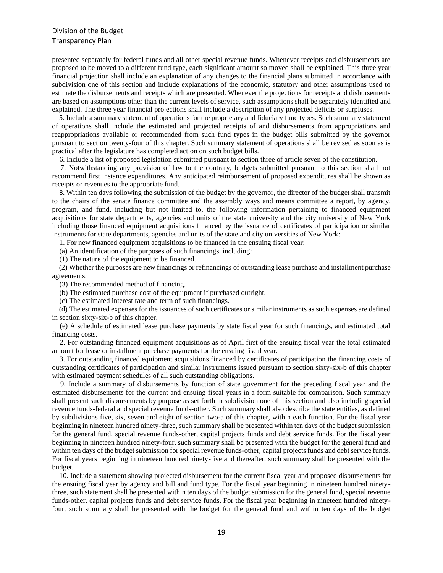presented separately for federal funds and all other special revenue funds. Whenever receipts and disbursements are proposed to be moved to a different fund type, each significant amount so moved shall be explained. This three year financial projection shall include an explanation of any changes to the financial plans submitted in accordance with subdivision one of this section and include explanations of the economic, statutory and other assumptions used to estimate the disbursements and receipts which are presented. Whenever the projections for receipts and disbursements are based on assumptions other than the current levels of service, such assumptions shall be separately identified and explained. The three year financial projections shall include a description of any projected deficits or surpluses.

 5. Include a summary statement of operations for the proprietary and fiduciary fund types. Such summary statement of operations shall include the estimated and projected receipts of and disbursements from appropriations and reappropriations available or recommended from such fund types in the budget bills submitted by the governor pursuant to section twenty-four of this chapter. Such summary statement of operations shall be revised as soon as is practical after the legislature has completed action on such budget bills.

6. Include a list of proposed legislation submitted pursuant to section three of article seven of the constitution.

 7. Notwithstanding any provision of law to the contrary, budgets submitted pursuant to this section shall not recommend first instance expenditures. Any anticipated reimbursement of proposed expenditures shall be shown as receipts or revenues to the appropriate fund.

 8. Within ten days following the submission of the budget by the governor, the director of the budget shall transmit to the chairs of the senate finance committee and the assembly ways and means committee a report, by agency, program, and fund, including but not limited to, the following information pertaining to financed equipment acquisitions for state departments, agencies and units of the state university and the city university of New York including those financed equipment acquisitions financed by the issuance of certificates of participation or similar instruments for state departments, agencies and units of the state and city universities of New York:

1. For new financed equipment acquisitions to be financed in the ensuing fiscal year:

(a) An identification of the purposes of such financings, including:

(1) The nature of the equipment to be financed.

 (2) Whether the purposes are new financings or refinancings of outstanding lease purchase and installment purchase agreements.

(3) The recommended method of financing.

(b) The estimated purchase cost of the equipment if purchased outright.

(c) The estimated interest rate and term of such financings.

 (d) The estimated expenses for the issuances of such certificates or similar instruments as such expenses are defined in section sixty-six-b of this chapter.

 (e) A schedule of estimated lease purchase payments by state fiscal year for such financings, and estimated total financing costs.

 2. For outstanding financed equipment acquisitions as of April first of the ensuing fiscal year the total estimated amount for lease or installment purchase payments for the ensuing fiscal year.

 3. For outstanding financed equipment acquisitions financed by certificates of participation the financing costs of outstanding certificates of participation and similar instruments issued pursuant to section sixty-six-b of this chapter with estimated payment schedules of all such outstanding obligations.

 9. Include a summary of disbursements by function of state government for the preceding fiscal year and the estimated disbursements for the current and ensuing fiscal years in a form suitable for comparison. Such summary shall present such disbursements by purpose as set forth in subdivision one of this section and also including special revenue funds-federal and special revenue funds-other. Such summary shall also describe the state entities, as defined by subdivisions five, six, seven and eight of section two-a of this chapter, within each function. For the fiscal year beginning in nineteen hundred ninety-three, such summary shall be presented within ten days of the budget submission for the general fund, special revenue funds-other, capital projects funds and debt service funds. For the fiscal year beginning in nineteen hundred ninety-four, such summary shall be presented with the budget for the general fund and within ten days of the budget submission for special revenue funds-other, capital projects funds and debt service funds. For fiscal years beginning in nineteen hundred ninety-five and thereafter, such summary shall be presented with the budget.

 10. Include a statement showing projected disbursement for the current fiscal year and proposed disbursements for the ensuing fiscal year by agency and bill and fund type. For the fiscal year beginning in nineteen hundred ninetythree, such statement shall be presented within ten days of the budget submission for the general fund, special revenue funds-other, capital projects funds and debt service funds. For the fiscal year beginning in nineteen hundred ninetyfour, such summary shall be presented with the budget for the general fund and within ten days of the budget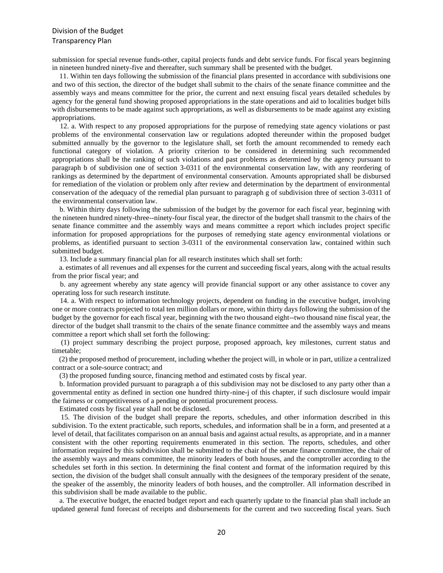submission for special revenue funds-other, capital projects funds and debt service funds. For fiscal years beginning in nineteen hundred ninety-five and thereafter, such summary shall be presented with the budget.

 11. Within ten days following the submission of the financial plans presented in accordance with subdivisions one and two of this section, the director of the budget shall submit to the chairs of the senate finance committee and the assembly ways and means committee for the prior, the current and next ensuing fiscal years detailed schedules by agency for the general fund showing proposed appropriations in the state operations and aid to localities budget bills with disbursements to be made against such appropriations, as well as disbursements to be made against any existing appropriations.

 12. a. With respect to any proposed appropriations for the purpose of remedying state agency violations or past problems of the environmental conservation law or regulations adopted thereunder within the proposed budget submitted annually by the governor to the legislature shall, set forth the amount recommended to remedy each functional category of violation. A priority criterion to be considered in determining such recommended appropriations shall be the ranking of such violations and past problems as determined by the agency pursuant to paragraph b of subdivision one of section 3-0311 of the environmental conservation law, with any reordering of rankings as determined by the department of environmental conservation. Amounts appropriated shall be disbursed for remediation of the violation or problem only after review and determination by the department of environmental conservation of the adequacy of the remedial plan pursuant to paragraph g of subdivision three of section 3-0311 of the environmental conservation law.

 b. Within thirty days following the submission of the budget by the governor for each fiscal year, beginning with the nineteen hundred ninety-three--ninety-four fiscal year, the director of the budget shall transmit to the chairs of the senate finance committee and the assembly ways and means committee a report which includes project specific information for proposed appropriations for the purposes of remedying state agency environmental violations or problems, as identified pursuant to section 3-0311 of the environmental conservation law, contained within such submitted budget.

13. Include a summary financial plan for all research institutes which shall set forth:

 a. estimates of all revenues and all expenses for the current and succeeding fiscal years, along with the actual results from the prior fiscal year; and

 b. any agreement whereby any state agency will provide financial support or any other assistance to cover any operating loss for such research institute.

 14. a. With respect to information technology projects, dependent on funding in the executive budget, involving one or more contracts projected to total ten million dollars or more, within thirty days following the submission of the budget by the governor for each fiscal year, beginning with the two thousand eight--two thousand nine fiscal year, the director of the budget shall transmit to the chairs of the senate finance committee and the assembly ways and means committee a report which shall set forth the following:

 (1) project summary describing the project purpose, proposed approach, key milestones, current status and timetable;

 (2) the proposed method of procurement, including whether the project will, in whole or in part, utilize a centralized contract or a sole-source contract; and

(3) the proposed funding source, financing method and estimated costs by fiscal year.

 b. Information provided pursuant to paragraph a of this subdivision may not be disclosed to any party other than a governmental entity as defined in section one hundred thirty-nine-j of this chapter, if such disclosure would impair the fairness or competitiveness of a pending or potential procurement process.

Estimated costs by fiscal year shall not be disclosed.

 15. The division of the budget shall prepare the reports, schedules, and other information described in this subdivision. To the extent practicable, such reports, schedules, and information shall be in a form, and presented at a level of detail, that facilitates comparison on an annual basis and against actual results, as appropriate, and in a manner consistent with the other reporting requirements enumerated in this section. The reports, schedules, and other information required by this subdivision shall be submitted to the chair of the senate finance committee, the chair of the assembly ways and means committee, the minority leaders of both houses, and the comptroller according to the schedules set forth in this section. In determining the final content and format of the information required by this section, the division of the budget shall consult annually with the designees of the temporary president of the senate, the speaker of the assembly, the minority leaders of both houses, and the comptroller. All information described in this subdivision shall be made available to the public.

 a. The executive budget, the enacted budget report and each quarterly update to the financial plan shall include an updated general fund forecast of receipts and disbursements for the current and two succeeding fiscal years. Such